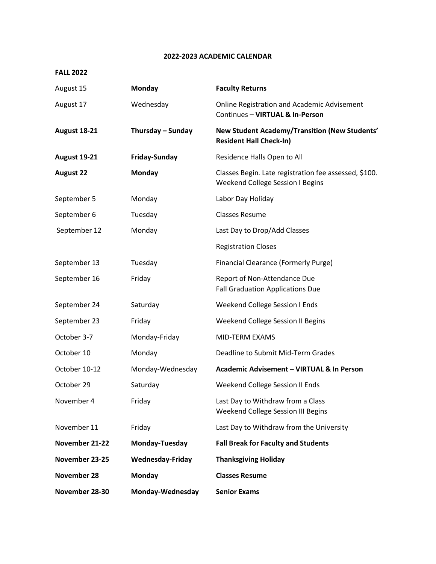## **2022-2023 ACADEMIC CALENDAR**

## **FALL 2022**

| August 15           | Monday                  | <b>Faculty Returns</b>                                                                    |
|---------------------|-------------------------|-------------------------------------------------------------------------------------------|
| August 17           | Wednesday               | <b>Online Registration and Academic Advisement</b><br>Continues - VIRTUAL & In-Person     |
| <b>August 18-21</b> | Thursday - Sunday       | New Student Academy/Transition (New Students'<br><b>Resident Hall Check-In)</b>           |
| <b>August 19-21</b> | <b>Friday-Sunday</b>    | Residence Halls Open to All                                                               |
| <b>August 22</b>    | Monday                  | Classes Begin. Late registration fee assessed, \$100.<br>Weekend College Session I Begins |
| September 5         | Monday                  | Labor Day Holiday                                                                         |
| September 6         | Tuesday                 | <b>Classes Resume</b>                                                                     |
| September 12        | Monday                  | Last Day to Drop/Add Classes                                                              |
|                     |                         | <b>Registration Closes</b>                                                                |
| September 13        | Tuesday                 | <b>Financial Clearance (Formerly Purge)</b>                                               |
| September 16        | Friday                  | Report of Non-Attendance Due<br><b>Fall Graduation Applications Due</b>                   |
| September 24        | Saturday                | Weekend College Session I Ends                                                            |
| September 23        | Friday                  | Weekend College Session II Begins                                                         |
| October 3-7         | Monday-Friday           | MID-TERM EXAMS                                                                            |
| October 10          | Monday                  | Deadline to Submit Mid-Term Grades                                                        |
| October 10-12       | Monday-Wednesday        | Academic Advisement - VIRTUAL & In Person                                                 |
| October 29          | Saturday                | Weekend College Session II Ends                                                           |
| November 4          | Friday                  | Last Day to Withdraw from a Class<br>Weekend College Session III Begins                   |
| November 11         | Friday                  | Last Day to Withdraw from the University                                                  |
| November 21-22      | Monday-Tuesday          | <b>Fall Break for Faculty and Students</b>                                                |
| November 23-25      | <b>Wednesday-Friday</b> | <b>Thanksgiving Holiday</b>                                                               |
| November 28         | Monday                  | <b>Classes Resume</b>                                                                     |
| November 28-30      | Monday-Wednesday        | <b>Senior Exams</b>                                                                       |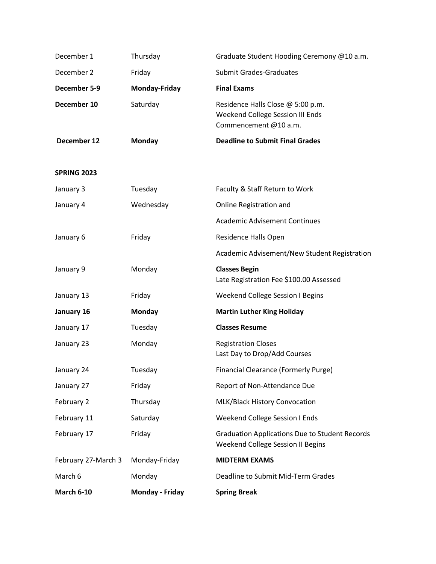| December 1          | Thursday        | Graduate Student Hooding Ceremony @10 a.m.                                                     |  |
|---------------------|-----------------|------------------------------------------------------------------------------------------------|--|
| December 2          | Friday          | <b>Submit Grades-Graduates</b>                                                                 |  |
| December 5-9        | Monday-Friday   | <b>Final Exams</b>                                                                             |  |
| December 10         | Saturday        | Residence Halls Close @ 5:00 p.m.<br>Weekend College Session III Ends<br>Commencement @10 a.m. |  |
| December 12         | Monday          | <b>Deadline to Submit Final Grades</b>                                                         |  |
| <b>SPRING 2023</b>  |                 |                                                                                                |  |
| January 3           | Tuesday         | Faculty & Staff Return to Work                                                                 |  |
| January 4           | Wednesday       | Online Registration and                                                                        |  |
|                     |                 | <b>Academic Advisement Continues</b>                                                           |  |
| January 6           | Friday          | Residence Halls Open                                                                           |  |
|                     |                 | Academic Advisement/New Student Registration                                                   |  |
| January 9           | Monday          | <b>Classes Begin</b><br>Late Registration Fee \$100.00 Assessed                                |  |
| January 13          | Friday          | <b>Weekend College Session I Begins</b>                                                        |  |
| January 16          | <b>Monday</b>   | <b>Martin Luther King Holiday</b>                                                              |  |
| January 17          | Tuesday         | <b>Classes Resume</b>                                                                          |  |
| January 23          | Monday          | <b>Registration Closes</b><br>Last Day to Drop/Add Courses                                     |  |
| January 24          | Tuesday         | Financial Clearance (Formerly Purge)                                                           |  |
| January 27          | Friday          | Report of Non-Attendance Due                                                                   |  |
| February 2          | Thursday        | MLK/Black History Convocation                                                                  |  |
| February 11         | Saturday        | Weekend College Session I Ends                                                                 |  |
| February 17         | Friday          | <b>Graduation Applications Due to Student Records</b><br>Weekend College Session II Begins     |  |
| February 27-March 3 | Monday-Friday   | <b>MIDTERM EXAMS</b>                                                                           |  |
| March 6             | Monday          | Deadline to Submit Mid-Term Grades                                                             |  |
| <b>March 6-10</b>   | Monday - Friday | <b>Spring Break</b>                                                                            |  |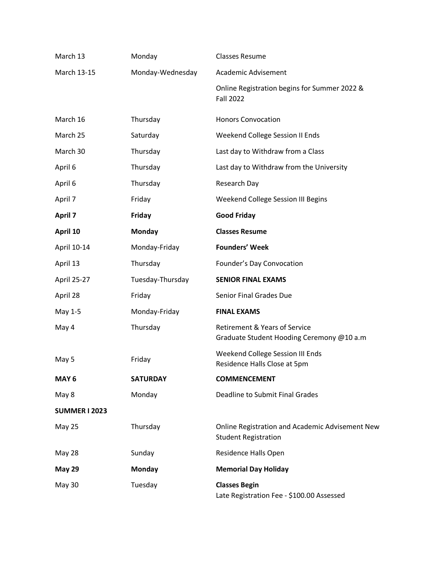| March 13             | Monday           | <b>Classes Resume</b>                                                                 |  |
|----------------------|------------------|---------------------------------------------------------------------------------------|--|
| March 13-15          | Monday-Wednesday | Academic Advisement                                                                   |  |
|                      |                  | Online Registration begins for Summer 2022 &<br><b>Fall 2022</b>                      |  |
| March 16             | Thursday         | <b>Honors Convocation</b>                                                             |  |
| March 25             | Saturday         | Weekend College Session II Ends                                                       |  |
| March 30             | Thursday         | Last day to Withdraw from a Class                                                     |  |
| April 6              | Thursday         | Last day to Withdraw from the University                                              |  |
| April 6              | Thursday         | Research Day                                                                          |  |
| April 7              | Friday           | Weekend College Session III Begins                                                    |  |
| <b>April 7</b>       | <b>Friday</b>    | <b>Good Friday</b>                                                                    |  |
| April 10             | Monday           | <b>Classes Resume</b>                                                                 |  |
| April 10-14          | Monday-Friday    | <b>Founders' Week</b>                                                                 |  |
| April 13             | Thursday         | Founder's Day Convocation                                                             |  |
| April 25-27          | Tuesday-Thursday | <b>SENIOR FINAL EXAMS</b>                                                             |  |
| April 28             | Friday           | Senior Final Grades Due                                                               |  |
| May 1-5              | Monday-Friday    | <b>FINAL EXAMS</b>                                                                    |  |
| May 4                | Thursday         | <b>Retirement &amp; Years of Service</b><br>Graduate Student Hooding Ceremony @10 a.m |  |
| May 5                | Friday           | Weekend College Session III Ends<br>Residence Halls Close at 5pm                      |  |
| MAY <sub>6</sub>     | <b>SATURDAY</b>  | <b>COMMENCEMENT</b>                                                                   |  |
| May 8                | Monday           | <b>Deadline to Submit Final Grades</b>                                                |  |
| <b>SUMMER I 2023</b> |                  |                                                                                       |  |
| May 25               | Thursday         | Online Registration and Academic Advisement New<br><b>Student Registration</b>        |  |
| May 28               | Sunday           | Residence Halls Open                                                                  |  |
| <b>May 29</b>        | Monday           | <b>Memorial Day Holiday</b>                                                           |  |
| May 30               | Tuesday          | <b>Classes Begin</b><br>Late Registration Fee - \$100.00 Assessed                     |  |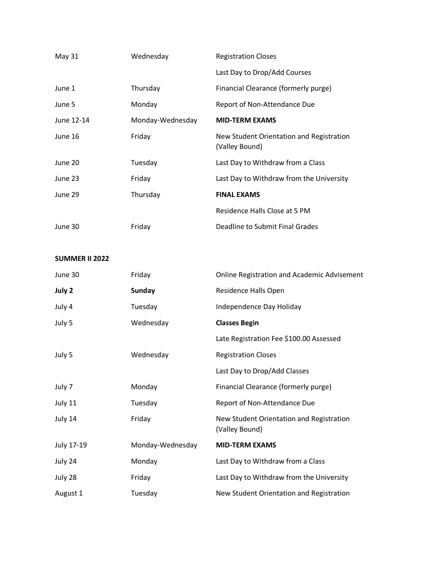| May 31     | Wednesday        | <b>Registration Closes</b>                                 |  |
|------------|------------------|------------------------------------------------------------|--|
|            |                  | Last Day to Drop/Add Courses                               |  |
| June 1     | Thursday         | Financial Clearance (formerly purge)                       |  |
| June 5     | Monday           | Report of Non-Attendance Due                               |  |
| June 12-14 | Monday-Wednesday | <b>MID-TERM EXAMS</b>                                      |  |
| June 16    | Friday           | New Student Orientation and Registration<br>(Valley Bound) |  |
| June 20    | Tuesday          | Last Day to Withdraw from a Class                          |  |
| June 23    | Friday           | Last Day to Withdraw from the University                   |  |
| June 29    | Thursday         | <b>FINAL EXAMS</b>                                         |  |
|            |                  | Residence Halls Close at 5 PM                              |  |
| June 30    | Friday           | Deadline to Submit Final Grades                            |  |

## **SUMMER II 2022**

| June 30    | Friday           | <b>Online Registration and Academic Advisement</b>         |
|------------|------------------|------------------------------------------------------------|
| July 2     | <b>Sunday</b>    | Residence Halls Open                                       |
| July 4     | Tuesday          | Independence Day Holiday                                   |
| July 5     | Wednesday        | <b>Classes Begin</b>                                       |
|            |                  | Late Registration Fee \$100.00 Assessed                    |
| July 5     | Wednesday        | <b>Registration Closes</b>                                 |
|            |                  | Last Day to Drop/Add Classes                               |
| July 7     | Monday           | Financial Clearance (formerly purge)                       |
| July 11    | Tuesday          | Report of Non-Attendance Due                               |
| July 14    | Friday           | New Student Orientation and Registration<br>(Valley Bound) |
| July 17-19 | Monday-Wednesday | <b>MID-TERM EXAMS</b>                                      |
| July 24    | Monday           | Last Day to Withdraw from a Class                          |
| July 28    | Friday           | Last Day to Withdraw from the University                   |
| August 1   | Tuesday          | New Student Orientation and Registration                   |